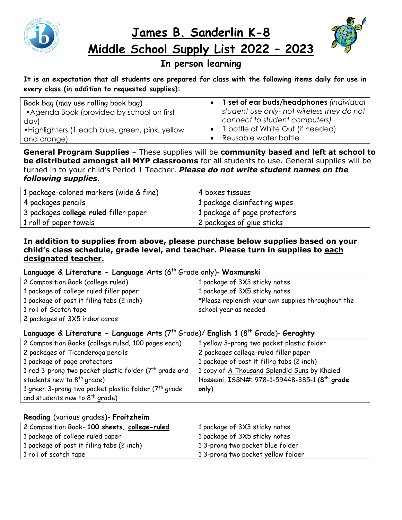

**James B. Sanderlin K-8 Middle School Supply List 2022 – 2023**



# **In person learning**

**It is an expectation that all students are prepared for class with the following items daily for use in every class (in addition to requested supplies):**

| Book bag (may use rolling book bag)              | • 1 set of ear buds/headphones (individual |
|--------------------------------------------------|--------------------------------------------|
| • Agenda Book (provided by school on first       | student use only- not wireless they do not |
| day)                                             | connect to student computers)              |
| • Highlighters (1 each blue, green, pink, yellow | • 1 bottle of White Out (if needed)        |
| and orange)                                      | Reusable water bottle                      |

**General Program Supplies** – These supplies will be **community based and left at school to be distributed amongst all MYP classrooms** for all students to use. General supplies will be turned in to your child's Period 1 Teacher. *Please do not write student names on the following supplies*.

| 1 package-colored markers (wide & fine) | 4 boxes tissues              |
|-----------------------------------------|------------------------------|
| 4 packages pencils                      | 1 package disinfecting wipes |
| 3 packages college ruled filler paper   | 1 package of page protectors |
| 1 roll of paper towels                  | 2 packages of glue sticks    |

#### **In addition to supplies from above, please purchase below supplies based on your child's class schedule, grade level, and teacher. Please turn in supplies to each designated teacher.**

#### Language & Literature - Language Arts (6<sup>th</sup> Grade only)- Waxmunski

| 2 Composition Book (college ruled)        | 1 package of 3X3 sticky notes                      |
|-------------------------------------------|----------------------------------------------------|
| 1 package of college ruled filler paper   | 1 package of 3X5 sticky notes                      |
| 1 package of post it filing tabs (2 inch) | *Please replenish your own supplies throughout the |
| 1 roll of Scotch tape                     | school year as needed                              |
| 2 packages of 3X5 index cards             |                                                    |

#### **Language & Literature - Language Arts** (7th Grade)/ **English 1** (8th Grade)- **Geraghty**

| 2 Composition Books (college ruled; 100 pages each)              | 1 yellow 3-prong two pocket plastic folder                |
|------------------------------------------------------------------|-----------------------------------------------------------|
| 2 packages of Ticonderoga pencils                                | 2 packages college-ruled filler paper                     |
| 1 package of page protectors                                     | 1 package of post it filing tabs (2 inch)                 |
| 1 red 3-prong two pocket plastic folder $(7th$ grade and         | 1 copy of A Thousand Splendid Suns by Khaled              |
| students new to $8^{th}$ grade)                                  | Hosseini, ISBN#: 978-1-59448-385-1 (8 <sup>th</sup> grade |
| 1 green 3-prong two pocket plastic folder (7 <sup>th</sup> grade | only)                                                     |
| and students new to $8^{th}$ grade)                              |                                                           |

#### **Reading** (various grades)- **Froitzheim**

| 2 Composition Book- 100 sheets, college-ruled | 1 package of 3X3 sticky notes     |
|-----------------------------------------------|-----------------------------------|
| 1 package of college ruled paper              | 1 package of 3X5 sticky notes     |
| 1 package of post it filing tabs (2 inch)     | 13-prong two pocket blue folder   |
| 1 roll of scotch tape                         | 13-prong two pocket yellow folder |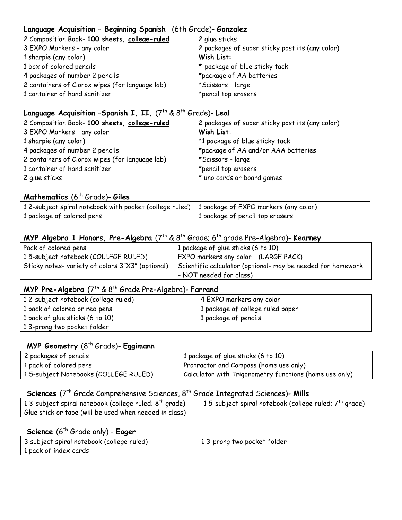#### **Language Acquisition – Beginning Spanish** (6th Grade)- **Gonzalez**

| 2 Composition Book- 100 sheets, college-ruled   | 2 glue sticks                                   |
|-------------------------------------------------|-------------------------------------------------|
| 3 EXPO Markers - any color                      | 2 packages of super sticky post its (any color) |
| 1 sharpie (any color)                           | Wish List:                                      |
| 1 box of colored pencils                        | * package of blue sticky tack                   |
| 4 packages of number 2 pencils                  | *package of AA batteries                        |
| 2 containers of Clorox wipes (for language lab) | *Scissors - large                               |
| 1 container of hand sanitizer                   | *pencil top erasers                             |

#### Language Acquisition -Spanish I, II,  $(7^{th} \& 8^{th}$  Grade)- Leal

| 2 Composition Book- 100 sheets, college-ruled   | 2 packages of super sticky post its (any color) |
|-------------------------------------------------|-------------------------------------------------|
| 3 EXPO Markers - any color                      | Wish List:                                      |
| 1 sharpie (any color)                           | *1 package of blue sticky tack                  |
| 4 packages of number 2 pencils                  | *package of AA and/or AAA batteries             |
| 2 containers of Clorox wipes (for language lab) | *Scissors - large                               |
| 1 container of hand sanitizer                   | *pencil top erasers                             |
| 2 glue sticks                                   | * uno cards or board games                      |

# **Mathematics** (6th Grade)- **Giles**

| 12-subject spiral notebook with pocket (college ruled) 1 package of EXPO markers (any color) |                                 |
|----------------------------------------------------------------------------------------------|---------------------------------|
| 1 package of colored pens                                                                    | 1 package of pencil top erasers |

#### **MYP Algebra 1 Honors, Pre-Algebra** (7<sup>th</sup> & 8<sup>th</sup> Grade; 6<sup>th</sup> grade Pre-Algebra)- **Kearney**

| Pack of colored pens                             | 1 package of glue sticks (6 to 10)                          |
|--------------------------------------------------|-------------------------------------------------------------|
| 15-subject notebook (COLLEGE RULED)              | EXPO markers any color - (LARGE PACK)                       |
| Sticky notes- variety of colors 3"X3" (optional) | Scientific calculator (optional- may be needed for homework |
|                                                  | - NOT needed for class)                                     |

#### **MYP Pre-Algebra** (7<sup>th</sup> & 8<sup>th</sup> Grade Pre-Algebra)- **Farrand**

| 12-subject notebook (college ruled) | 4 EXPO markers any color         |
|-------------------------------------|----------------------------------|
| 1 pack of colored or red pens       | 1 package of college ruled paper |
| 1 pack of glue sticks (6 to 10)     | 1 package of pencils             |
| 13-prong two pocket folder          |                                  |

#### **MYP Geometry** (8th Grade)- **Eggimann**

| 2 packages of pencils                | 1 package of glue sticks (6 to 10)                     |
|--------------------------------------|--------------------------------------------------------|
| 1 pack of colored pens               | Protractor and Compass (home use only)                 |
| 15-subject Notebooks (COLLEGE RULED) | Calculator with Trigonometry functions (home use only) |

### **Sciences** (7<sup>th</sup> Grade Comprehensive Sciences, 8<sup>th</sup> Grade Integrated Sciences)- Mills

| 13-subject spiral notebook (college ruled; $8^{th}$ grade) | 15-subject spiral notebook (college ruled; $7th$ grade) |
|------------------------------------------------------------|---------------------------------------------------------|
| Glue stick or tape (will be used when needed in class)     |                                                         |

# Science (6<sup>th</sup> Grade only) - Eager

| 3 subject spiral notebook (college ruled) | 13-prong two pocket folder |
|-------------------------------------------|----------------------------|
| 1 pack of index cards                     |                            |